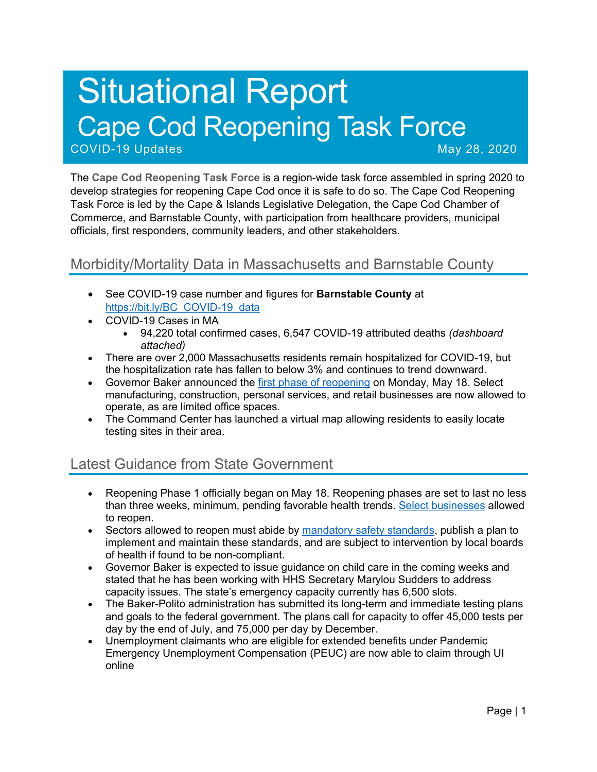# Situational Report Cape Cod Reopening Task Force

COVID-19 Updates May 28, 2020

The **Cape Cod Reopening Task Force** is a region-wide task force assembled in spring 2020 to develop strategies for reopening Cape Cod once it is safe to do so. The Cape Cod Reopening Task Force is led by the Cape & Islands Legislative Delegation, the Cape Cod Chamber of Commerce, and Barnstable County, with participation from healthcare providers, municipal officials, first responders, community leaders, and other stakeholders.

## Morbidity/Mortality Data in Massachusetts and Barnstable County

- See COVID-19 case number and figures for **Barnstable County** at https://bit.ly/BC\_COVID-19\_data
- COVID-19 Cases in MA
	- 94,220 total confirmed cases, 6,547 COVID-19 attributed deaths *(dashboard attached)*
- There are over 2,000 Massachusetts residents remain hospitalized for COVID-19, but the hospitalization rate has fallen to below 3% and continues to trend downward.
- Governor Baker announced the first phase of reopening on Monday, May 18. Select manufacturing, construction, personal services, and retail businesses are now allowed to operate, as are limited office spaces.
- The Command Center has launched a virtual map allowing residents to easily locate testing sites in their area.

### Latest Guidance from State Government

- Reopening Phase 1 officially began on May 18. Reopening phases are set to last no less than three weeks, minimum, pending favorable health trends. Select businesses allowed to reopen.
- Sectors allowed to reopen must abide by mandatory safety standards, publish a plan to implement and maintain these standards, and are subject to intervention by local boards of health if found to be non-compliant.
- Governor Baker is expected to issue guidance on child care in the coming weeks and stated that he has been working with HHS Secretary Marylou Sudders to address capacity issues. The state's emergency capacity currently has 6,500 slots.
- The Baker-Polito administration has submitted its long-term and immediate testing plans and goals to the federal government. The plans call for capacity to offer 45,000 tests per day by the end of July, and 75,000 per day by December.
- Unemployment claimants who are eligible for extended benefits under Pandemic Emergency Unemployment Compensation (PEUC) are now able to claim through UI online